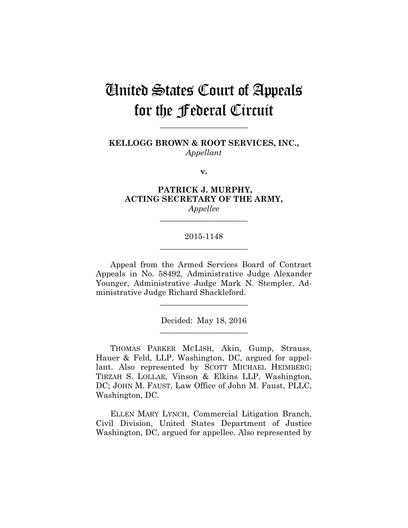# United States Court of Appeals for the Federal Circuit

**KELLOGG BROWN & ROOT SERVICES, INC.,** *Appellant*

**\_\_\_\_\_\_\_\_\_\_\_\_\_\_\_\_\_\_\_\_\_\_** 

**v.**

**PATRICK J. MURPHY, ACTING SECRETARY OF THE ARMY,** *Appellee*

# 2015-1148 **\_\_\_\_\_\_\_\_\_\_\_\_\_\_\_\_\_\_\_\_\_\_**

**\_\_\_\_\_\_\_\_\_\_\_\_\_\_\_\_\_\_\_\_\_\_** 

Appeal from the Armed Services Board of Contract Appeals in No. 58492, Administrative Judge Alexander Younger, Administrative Judge Mark N. Stempler, Administrative Judge Richard Shackleford.

> Decided: May 18, 2016 **\_\_\_\_\_\_\_\_\_\_\_\_\_\_\_\_\_\_\_\_\_\_**

> **\_\_\_\_\_\_\_\_\_\_\_\_\_\_\_\_\_\_\_\_\_\_**

 THOMAS PARKER MCLISH, Akin, Gump, Strauss, Hauer & Feld, LLP, Washington, DC, argued for appellant. Also represented by SCOTT MICHAEL HEIMBERG; TIRZAH S. LOLLAR, Vinson & Elkins LLP, Washington, DC; JOHN M. FAUST, Law Office of John M. Faust, PLLC, Washington, DC.

 ELLEN MARY LYNCH, Commercial Litigation Branch, Civil Division, United States Department of Justice Washington, DC, argued for appellee. Also represented by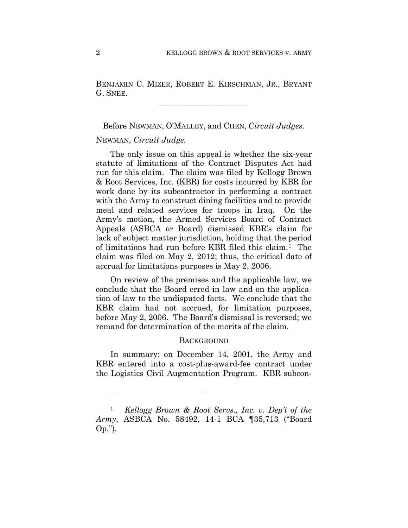BENJAMIN C. MIZER, ROBERT E. KIRSCHMAN, JR., BRYANT G. SNEE.

**\_\_\_\_\_\_\_\_\_\_\_\_\_\_\_\_\_\_\_\_\_\_** 

Before NEWMAN, O'MALLEY, and CHEN, *Circuit Judges.*

# NEWMAN, *Circuit Judge.*

<u>.</u>

The only issue on this appeal is whether the six-year statute of limitations of the Contract Disputes Act had run for this claim. The claim was filed by Kellogg Brown & Root Services, Inc. (KBR) for costs incurred by KBR for work done by its subcontractor in performing a contract with the Army to construct dining facilities and to provide meal and related services for troops in Iraq. On the Army's motion, the Armed Services Board of Contract Appeals (ASBCA or Board) dismissed KBR's claim for lack of subject matter jurisdiction, holding that the period of limitations had run before KBR filed this claim.1 The claim was filed on May 2, 2012; thus, the critical date of accrual for limitations purposes is May 2, 2006.

On review of the premises and the applicable law, we conclude that the Board erred in law and on the application of law to the undisputed facts. We conclude that the KBR claim had not accrued, for limitation purposes, before May 2, 2006. The Board's dismissal is reversed; we remand for determination of the merits of the claim.

### **BACKGROUND**

In summary: on December 14, 2001, the Army and KBR entered into a cost-plus-award-fee contract under the Logistics Civil Augmentation Program. KBR subcon-

<sup>1</sup> *Kellogg Brown & Root Servs., Inc. v. Dep't of the Army*, ASBCA No. 58492, 14-1 BCA ¶35,713 ("Board Op.").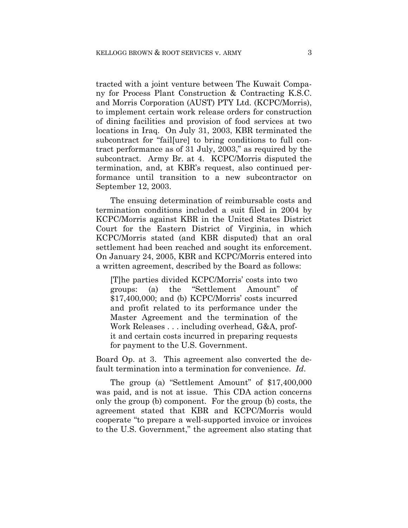tracted with a joint venture between The Kuwait Company for Process Plant Construction & Contracting K.S.C. and Morris Corporation (AUST) PTY Ltd. (KCPC/Morris), to implement certain work release orders for construction of dining facilities and provision of food services at two locations in Iraq. On July 31, 2003, KBR terminated the subcontract for "fail[ure] to bring conditions to full contract performance as of 31 July, 2003," as required by the subcontract. Army Br. at 4. KCPC/Morris disputed the termination, and, at KBR's request, also continued performance until transition to a new subcontractor on September 12, 2003.

The ensuing determination of reimbursable costs and termination conditions included a suit filed in 2004 by KCPC/Morris against KBR in the United States District Court for the Eastern District of Virginia, in which KCPC/Morris stated (and KBR disputed) that an oral settlement had been reached and sought its enforcement. On January 24, 2005, KBR and KCPC/Morris entered into a written agreement, described by the Board as follows:

[T]he parties divided KCPC/Morris' costs into two groups: (a) the "Settlement Amount" of \$17,400,000; and (b) KCPC/Morris' costs incurred and profit related to its performance under the Master Agreement and the termination of the Work Releases . . . including overhead, G&A, profit and certain costs incurred in preparing requests for payment to the U.S. Government.

Board Op. at 3. This agreement also converted the default termination into a termination for convenience. *Id*.

The group (a) "Settlement Amount" of \$17,400,000 was paid, and is not at issue. This CDA action concerns only the group (b) component. For the group (b) costs, the agreement stated that KBR and KCPC/Morris would cooperate "to prepare a well-supported invoice or invoices to the U.S. Government," the agreement also stating that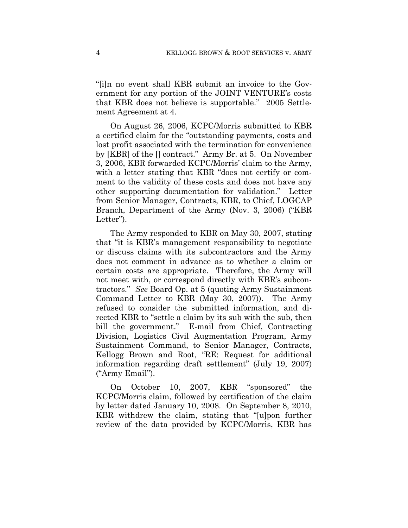"[i]n no event shall KBR submit an invoice to the Government for any portion of the JOINT VENTURE's costs that KBR does not believe is supportable." 2005 Settlement Agreement at 4.

On August 26, 2006, KCPC/Morris submitted to KBR a certified claim for the "outstanding payments, costs and lost profit associated with the termination for convenience by [KBR] of the [] contract." Army Br. at 5. On November 3, 2006, KBR forwarded KCPC/Morris' claim to the Army, with a letter stating that KBR "does not certify or comment to the validity of these costs and does not have any other supporting documentation for validation." Letter from Senior Manager, Contracts, KBR, to Chief, LOGCAP Branch, Department of the Army (Nov. 3, 2006) ("KBR Letter").

The Army responded to KBR on May 30, 2007, stating that "it is KBR's management responsibility to negotiate or discuss claims with its subcontractors and the Army does not comment in advance as to whether a claim or certain costs are appropriate. Therefore, the Army will not meet with, or correspond directly with KBR's subcontractors." *See* Board Op. at 5 (quoting Army Sustainment Command Letter to KBR (May 30, 2007)). The Army refused to consider the submitted information, and directed KBR to "settle a claim by its sub with the sub, then bill the government." E-mail from Chief, Contracting Division, Logistics Civil Augmentation Program, Army Sustainment Command, to Senior Manager, Contracts, Kellogg Brown and Root, "RE: Request for additional information regarding draft settlement" (July 19, 2007) ("Army Email").

On October 10, 2007, KBR "sponsored" the KCPC/Morris claim, followed by certification of the claim by letter dated January 10, 2008. On September 8, 2010, KBR withdrew the claim, stating that "[u]pon further review of the data provided by KCPC/Morris, KBR has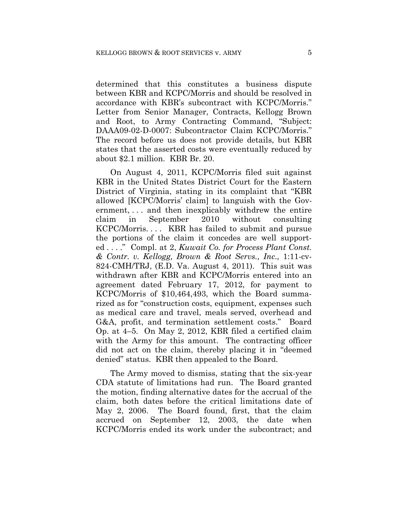determined that this constitutes a business dispute between KBR and KCPC/Morris and should be resolved in accordance with KBR's subcontract with KCPC/Morris." Letter from Senior Manager, Contracts, Kellogg Brown and Root, to Army Contracting Command, "Subject: DAAA09-02-D-0007: Subcontractor Claim KCPC/Morris." The record before us does not provide details, but KBR states that the asserted costs were eventually reduced by about \$2.1 million. KBR Br. 20.

On August 4, 2011, KCPC/Morris filed suit against KBR in the United States District Court for the Eastern District of Virginia, stating in its complaint that "KBR allowed [KCPC/Morris' claim] to languish with the Government, . . . and then inexplicably withdrew the entire claim in September 2010 without consulting KCPC/Morris. . . . KBR has failed to submit and pursue the portions of the claim it concedes are well supported . . . ." Compl. at 2, *Kuwait Co. for Process Plant Const. & Contr. v. Kellogg, Brown & Root Servs., Inc.,* 1:11-cv-824-CMH/TRJ, (E.D. Va. August 4, 2011). This suit was withdrawn after KBR and KCPC/Morris entered into an agreement dated February 17, 2012, for payment to KCPC/Morris of \$10,464,493, which the Board summarized as for "construction costs, equipment, expenses such as medical care and travel, meals served, overhead and G&A, profit, and termination settlement costs." Board Op. at 4–5. On May 2, 2012, KBR filed a certified claim with the Army for this amount. The contracting officer did not act on the claim, thereby placing it in "deemed denied" status. KBR then appealed to the Board.

The Army moved to dismiss, stating that the six-year CDA statute of limitations had run. The Board granted the motion, finding alternative dates for the accrual of the claim, both dates before the critical limitations date of May 2, 2006. The Board found, first, that the claim accrued on September 12, 2003, the date when KCPC/Morris ended its work under the subcontract; and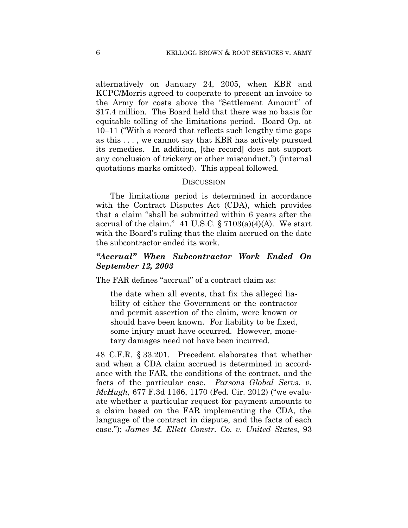alternatively on January 24, 2005, when KBR and KCPC/Morris agreed to cooperate to present an invoice to the Army for costs above the "Settlement Amount" of \$17.4 million. The Board held that there was no basis for equitable tolling of the limitations period. Board Op. at 10–11 ("With a record that reflects such lengthy time gaps as this . . . , we cannot say that KBR has actively pursued its remedies. In addition, [the record] does not support any conclusion of trickery or other misconduct.") (internal quotations marks omitted). This appeal followed.

# **DISCUSSION**

The limitations period is determined in accordance with the Contract Disputes Act (CDA), which provides that a claim "shall be submitted within 6 years after the accrual of the claim." 41 U.S.C.  $\S 7103(a)(4)(A)$ . We start with the Board's ruling that the claim accrued on the date the subcontractor ended its work.

# *"Accrual" When Subcontractor Work Ended On September 12, 2003*

The FAR defines "accrual" of a contract claim as:

the date when all events, that fix the alleged liability of either the Government or the contractor and permit assertion of the claim, were known or should have been known. For liability to be fixed, some injury must have occurred. However, monetary damages need not have been incurred.

48 C.F.R. § 33.201. Precedent elaborates that whether and when a CDA claim accrued is determined in accordance with the FAR, the conditions of the contract, and the facts of the particular case. *Parsons Global Servs. v. McHugh,* 677 F.3d 1166, 1170 (Fed. Cir. 2012) ("we evaluate whether a particular request for payment amounts to a claim based on the FAR implementing the CDA, the language of the contract in dispute, and the facts of each case."); *James M. Ellett Constr. Co. v. United States*, 93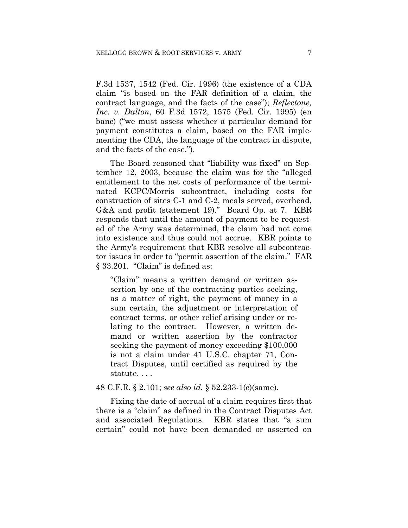F.3d 1537, 1542 (Fed. Cir. 1996) (the existence of a CDA claim "is based on the FAR definition of a claim, the contract language, and the facts of the case"); *Reflectone, Inc. v. Dalton*, 60 F.3d 1572, 1575 (Fed. Cir. 1995) (en banc) ("we must assess whether a particular demand for payment constitutes a claim, based on the FAR implementing the CDA, the language of the contract in dispute, and the facts of the case.").

The Board reasoned that "liability was fixed" on September 12, 2003, because the claim was for the "alleged entitlement to the net costs of performance of the terminated KCPC/Morris subcontract, including costs for construction of sites C-1 and C-2, meals served, overhead, G&A and profit (statement 19)." Board Op. at 7. KBR responds that until the amount of payment to be requested of the Army was determined, the claim had not come into existence and thus could not accrue. KBR points to the Army's requirement that KBR resolve all subcontractor issues in order to "permit assertion of the claim." FAR § 33.201. "Claim" is defined as:

"Claim" means a written demand or written assertion by one of the contracting parties seeking, as a matter of right, the payment of money in a sum certain, the adjustment or interpretation of contract terms, or other relief arising under or relating to the contract. However, a written demand or written assertion by the contractor seeking the payment of money exceeding \$100,000 is not a claim under 41 U.S.C. chapter 71, Contract Disputes, until certified as required by the statute. . . .

#### 48 C.F.R. § 2.101; *see also id.* § 52.233-1(c)(same).

Fixing the date of accrual of a claim requires first that there is a "claim" as defined in the Contract Disputes Act and associated Regulations. KBR states that "a sum certain" could not have been demanded or asserted on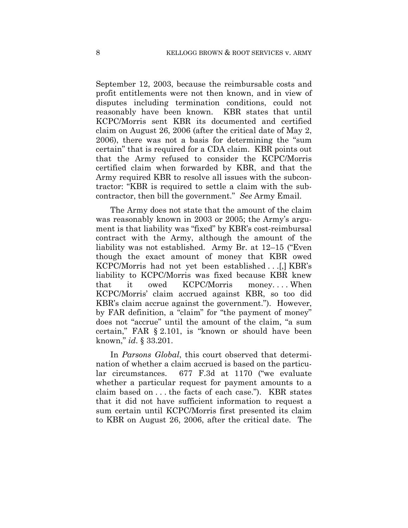September 12, 2003, because the reimbursable costs and profit entitlements were not then known, and in view of disputes including termination conditions, could not reasonably have been known. KBR states that until KCPC/Morris sent KBR its documented and certified claim on August 26, 2006 (after the critical date of May 2, 2006), there was not a basis for determining the "sum certain" that is required for a CDA claim. KBR points out that the Army refused to consider the KCPC/Morris certified claim when forwarded by KBR, and that the Army required KBR to resolve all issues with the subcontractor: "KBR is required to settle a claim with the subcontractor, then bill the government." *See* Army Email.

The Army does not state that the amount of the claim was reasonably known in 2003 or 2005; the Army's argument is that liability was "fixed" by KBR's cost-reimbursal contract with the Army, although the amount of the liability was not established. Army Br. at 12–15 ("Even though the exact amount of money that KBR owed KCPC/Morris had not yet been established . . .[,] KBR's liability to KCPC/Morris was fixed because KBR knew that it owed KCPC/Morris money. . . . When KCPC/Morris' claim accrued against KBR, so too did KBR's claim accrue against the government."). However, by FAR definition, a "claim" for "the payment of money" does not "accrue" until the amount of the claim, "a sum certain," FAR § 2.101, is "known or should have been known," *id*. § 33.201.

In *Parsons Global*, this court observed that determination of whether a claim accrued is based on the particular circumstances. 677 F.3d at 1170 ("we evaluate whether a particular request for payment amounts to a claim based on . . . the facts of each case."). KBR states that it did not have sufficient information to request a sum certain until KCPC/Morris first presented its claim to KBR on August 26, 2006, after the critical date. The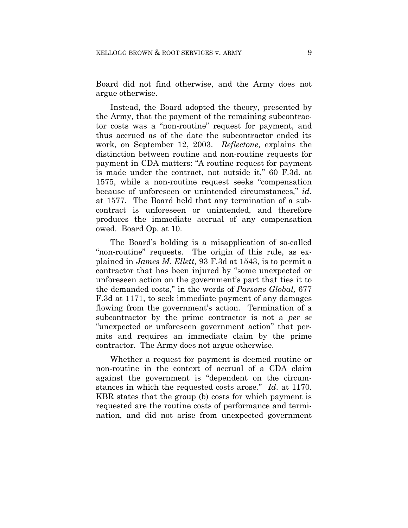Board did not find otherwise, and the Army does not argue otherwise.

Instead, the Board adopted the theory, presented by the Army, that the payment of the remaining subcontractor costs was a "non-routine" request for payment, and thus accrued as of the date the subcontractor ended its work, on September 12, 2003. *Reflectone,* explains the distinction between routine and non-routine requests for payment in CDA matters: "A routine request for payment is made under the contract, not outside it," 60 F.3d. at 1575, while a non-routine request seeks "compensation because of unforeseen or unintended circumstances," *id.* at 1577. The Board held that any termination of a subcontract is unforeseen or unintended, and therefore produces the immediate accrual of any compensation owed. Board Op. at 10.

The Board's holding is a misapplication of so-called "non-routine" requests. The origin of this rule, as explained in *James M. Ellett,* 93 F.3d at 1543, is to permit a contractor that has been injured by "some unexpected or unforeseen action on the government's part that ties it to the demanded costs," in the words of *Parsons Global,* 677 F.3d at 1171, to seek immediate payment of any damages flowing from the government's action. Termination of a subcontractor by the prime contractor is not a *per se* "unexpected or unforeseen government action" that permits and requires an immediate claim by the prime contractor. The Army does not argue otherwise.

Whether a request for payment is deemed routine or non-routine in the context of accrual of a CDA claim against the government is "dependent on the circumstances in which the requested costs arose." *Id*. at 1170. KBR states that the group (b) costs for which payment is requested are the routine costs of performance and termination, and did not arise from unexpected government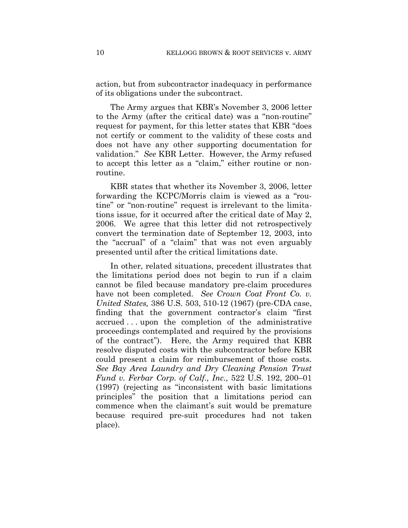action, but from subcontractor inadequacy in performance of its obligations under the subcontract.

The Army argues that KBR's November 3, 2006 letter to the Army (after the critical date) was a "non-routine" request for payment, for this letter states that KBR "does not certify or comment to the validity of these costs and does not have any other supporting documentation for validation." *See* KBR Letter. However, the Army refused to accept this letter as a "claim," either routine or nonroutine.

KBR states that whether its November 3, 2006, letter forwarding the KCPC/Morris claim is viewed as a "routine" or "non-routine" request is irrelevant to the limitations issue, for it occurred after the critical date of May 2, 2006. We agree that this letter did not retrospectively convert the termination date of September 12, 2003, into the "accrual" of a "claim" that was not even arguably presented until after the critical limitations date.

In other, related situations, precedent illustrates that the limitations period does not begin to run if a claim cannot be filed because mandatory pre-claim procedures have not been completed. *See Crown Coat Front Co. v. United States,* 386 U.S. 503, 510-12 (1967) (pre-CDA case, finding that the government contractor's claim "first accrued . . . upon the completion of the administrative proceedings contemplated and required by the provisions of the contract"). Here, the Army required that KBR resolve disputed costs with the subcontractor before KBR could present a claim for reimbursement of those costs. *See Bay Area Laundry and Dry Cleaning Pension Trust Fund v. Ferbar Corp. of Calf., Inc.,* 522 U.S. 192, 200–01 (1997) (rejecting as "inconsistent with basic limitations principles" the position that a limitations period can commence when the claimant's suit would be premature because required pre-suit procedures had not taken place).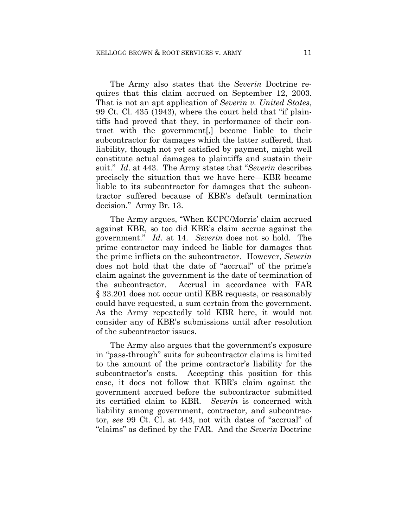The Army also states that the *Severin* Doctrine requires that this claim accrued on September 12, 2003. That is not an apt application of *Severin v. United States*, 99 Ct. Cl. 435 (1943), where the court held that "if plaintiffs had proved that they, in performance of their contract with the government[,] become liable to their subcontractor for damages which the latter suffered, that liability, though not yet satisfied by payment, might well constitute actual damages to plaintiffs and sustain their suit." *Id*. at 443. The Army states that "*Severin* describes precisely the situation that we have here—KBR became liable to its subcontractor for damages that the subcontractor suffered because of KBR's default termination decision." Army Br. 13.

The Army argues, "When KCPC/Morris' claim accrued against KBR, so too did KBR's claim accrue against the government." *Id*. at 14. *Severin* does not so hold. The prime contractor may indeed be liable for damages that the prime inflicts on the subcontractor. However, *Severin* does not hold that the date of "accrual" of the prime's claim against the government is the date of termination of the subcontractor. Accrual in accordance with FAR § 33.201 does not occur until KBR requests, or reasonably could have requested, a sum certain from the government. As the Army repeatedly told KBR here, it would not consider any of KBR's submissions until after resolution of the subcontractor issues.

The Army also argues that the government's exposure in "pass-through" suits for subcontractor claims is limited to the amount of the prime contractor's liability for the subcontractor's costs. Accepting this position for this case, it does not follow that KBR's claim against the government accrued before the subcontractor submitted its certified claim to KBR. *Severin* is concerned with liability among government, contractor, and subcontractor, *see* 99 Ct. Cl. at 443, not with dates of "accrual" of "claims" as defined by the FAR. And the *Severin* Doctrine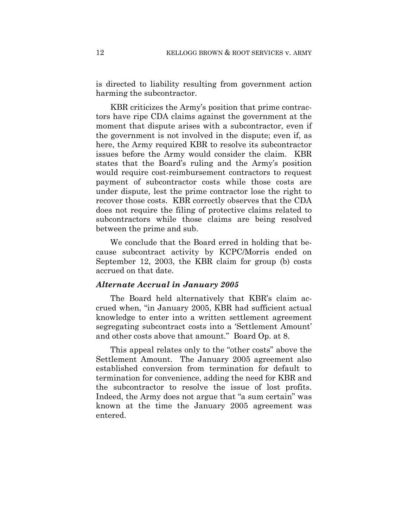is directed to liability resulting from government action harming the subcontractor.

KBR criticizes the Army's position that prime contractors have ripe CDA claims against the government at the moment that dispute arises with a subcontractor, even if the government is not involved in the dispute; even if, as here, the Army required KBR to resolve its subcontractor issues before the Army would consider the claim. KBR states that the Board's ruling and the Army's position would require cost-reimbursement contractors to request payment of subcontractor costs while those costs are under dispute, lest the prime contractor lose the right to recover those costs. KBR correctly observes that the CDA does not require the filing of protective claims related to subcontractors while those claims are being resolved between the prime and sub.

We conclude that the Board erred in holding that because subcontract activity by KCPC/Morris ended on September 12, 2003, the KBR claim for group (b) costs accrued on that date.

#### *Alternate Accrual in January 2005*

The Board held alternatively that KBR's claim accrued when, "in January 2005, KBR had sufficient actual knowledge to enter into a written settlement agreement segregating subcontract costs into a 'Settlement Amount' and other costs above that amount." Board Op. at 8.

This appeal relates only to the "other costs" above the Settlement Amount. The January 2005 agreement also established conversion from termination for default to termination for convenience, adding the need for KBR and the subcontractor to resolve the issue of lost profits. Indeed, the Army does not argue that "a sum certain" was known at the time the January 2005 agreement was entered.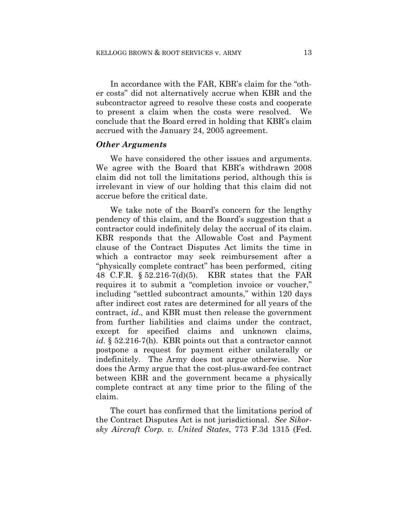In accordance with the FAR, KBR's claim for the "other costs" did not alternatively accrue when KBR and the subcontractor agreed to resolve these costs and cooperate to present a claim when the costs were resolved. We conclude that the Board erred in holding that KBR's claim accrued with the January 24, 2005 agreement.

#### *Other Arguments*

We have considered the other issues and arguments. We agree with the Board that KBR's withdrawn 2008 claim did not toll the limitations period, although this is irrelevant in view of our holding that this claim did not accrue before the critical date.

We take note of the Board's concern for the lengthy pendency of this claim, and the Board's suggestion that a contractor could indefinitely delay the accrual of its claim. KBR responds that the Allowable Cost and Payment clause of the Contract Disputes Act limits the time in which a contractor may seek reimbursement after a "physically complete contract" has been performed, citing 48 C.F.R. § 52.216-7(d)(5). KBR states that the FAR requires it to submit a "completion invoice or voucher," including "settled subcontract amounts," within 120 days after indirect cost rates are determined for all years of the contract, *id*., and KBR must then release the government from further liabilities and claims under the contract, except for specified claims and unknown claims, *id.* § 52.216-7(h). KBR points out that a contractor cannot postpone a request for payment either unilaterally or indefinitely. The Army does not argue otherwise. Nor does the Army argue that the cost-plus-award-fee contract between KBR and the government became a physically complete contract at any time prior to the filing of the claim.

The court has confirmed that the limitations period of the Contract Disputes Act is not jurisdictional. *See Sikorsky Aircraft Corp. v. United States*, 773 F.3d 1315 (Fed.